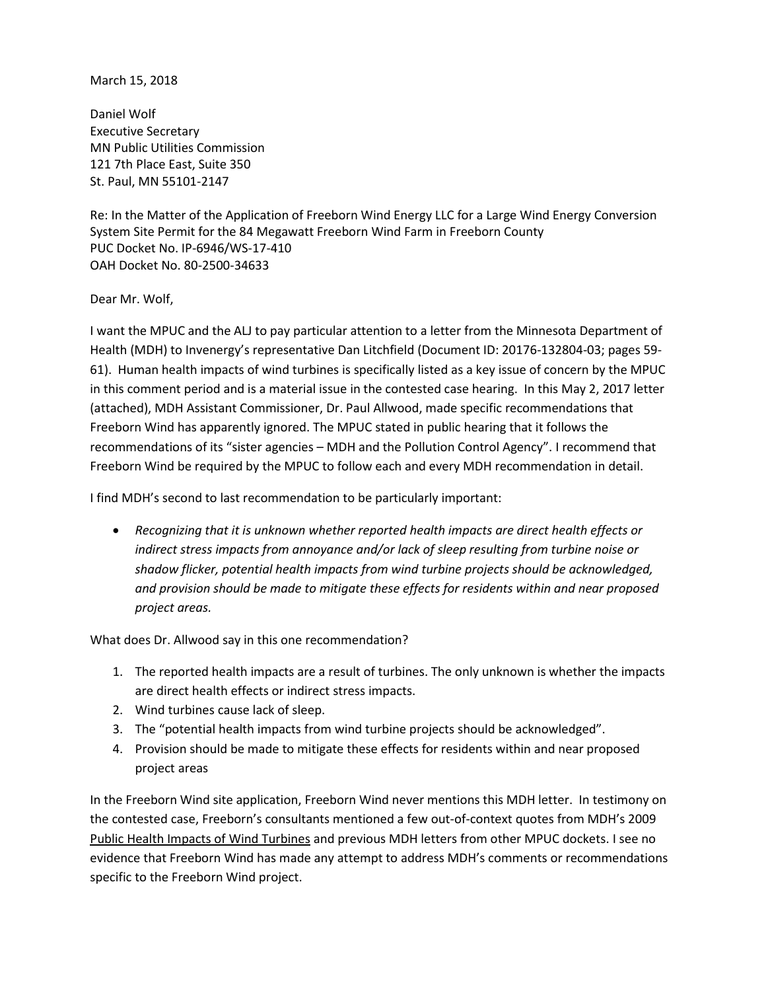## March 15, 2018

Daniel Wolf Executive Secretary MN Public Utilities Commission 121 7th Place East, Suite 350 St. Paul, MN 55101-2147

Re: In the Matter of the Application of Freeborn Wind Energy LLC for a Large Wind Energy Conversion System Site Permit for the 84 Megawatt Freeborn Wind Farm in Freeborn County PUC Docket No. IP-6946/WS-17-410 OAH Docket No. 80-2500-34633

Dear Mr. Wolf,

I want the MPUC and the ALJ to pay particular attention to a letter from the Minnesota Department of Health (MDH) to Invenergy's representative Dan Litchfield (Document ID: 20176-132804-03; pages 59- 61). Human health impacts of wind turbines is specifically listed as a key issue of concern by the MPUC in this comment period and is a material issue in the contested case hearing. In this May 2, 2017 letter (attached), MDH Assistant Commissioner, Dr. Paul Allwood, made specific recommendations that Freeborn Wind has apparently ignored. The MPUC stated in public hearing that it follows the recommendations of its "sister agencies – MDH and the Pollution Control Agency". I recommend that Freeborn Wind be required by the MPUC to follow each and every MDH recommendation in detail.

I find MDH's second to last recommendation to be particularly important:

 *Recognizing that it is unknown whether reported health impacts are direct health effects or indirect stress impacts from annoyance and/or lack of sleep resulting from turbine noise or shadow flicker, potential health impacts from wind turbine projects should be acknowledged, and provision should be made to mitigate these effects for residents within and near proposed project areas.* 

What does Dr. Allwood say in this one recommendation?

- 1. The reported health impacts are a result of turbines. The only unknown is whether the impacts are direct health effects or indirect stress impacts.
- 2. Wind turbines cause lack of sleep.
- 3. The "potential health impacts from wind turbine projects should be acknowledged".
- 4. Provision should be made to mitigate these effects for residents within and near proposed project areas

In the Freeborn Wind site application, Freeborn Wind never mentions this MDH letter. In testimony on the contested case, Freeborn's consultants mentioned a few out-of-context quotes from MDH's 2009 Public Health Impacts of Wind Turbines and previous MDH letters from other MPUC dockets. I see no evidence that Freeborn Wind has made any attempt to address MDH's comments or recommendations specific to the Freeborn Wind project.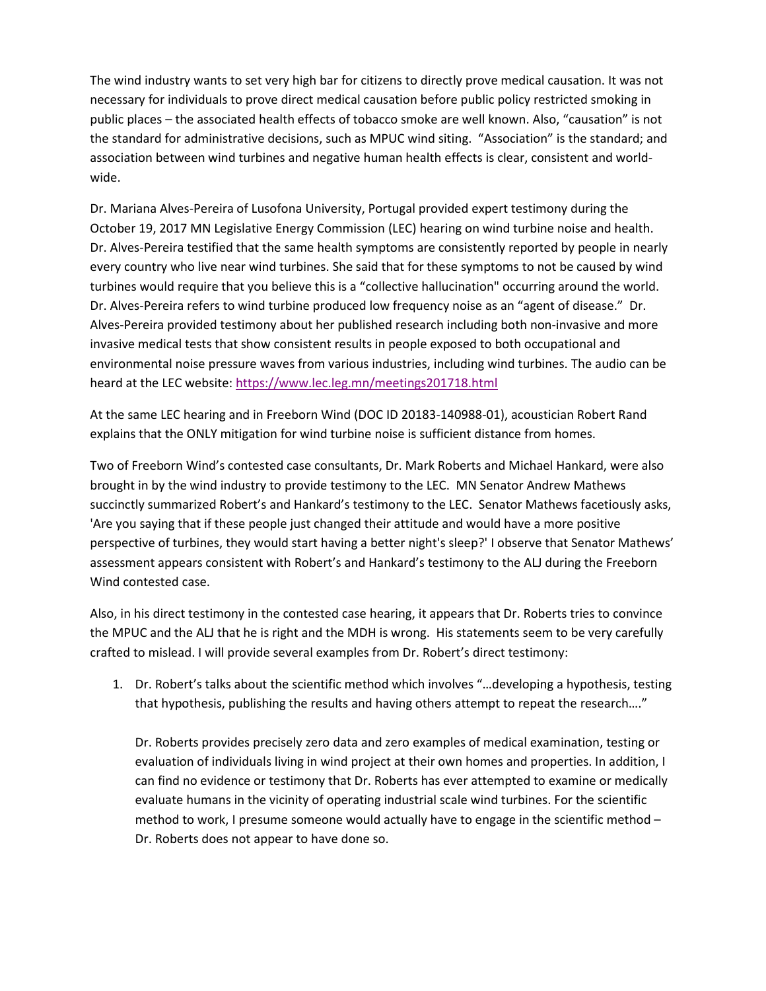The wind industry wants to set very high bar for citizens to directly prove medical causation. It was not necessary for individuals to prove direct medical causation before public policy restricted smoking in public places – the associated health effects of tobacco smoke are well known. Also, "causation" is not the standard for administrative decisions, such as MPUC wind siting. "Association" is the standard; and association between wind turbines and negative human health effects is clear, consistent and worldwide.

Dr. Mariana Alves-Pereira of Lusofona University, Portugal provided expert testimony during the October 19, 2017 MN Legislative Energy Commission (LEC) hearing on wind turbine noise and health. Dr. Alves-Pereira testified that the same health symptoms are consistently reported by people in nearly every country who live near wind turbines. She said that for these symptoms to not be caused by wind turbines would require that you believe this is a "collective hallucination" occurring around the world. Dr. Alves-Pereira refers to wind turbine produced low frequency noise as an "agent of disease." Dr. Alves-Pereira provided testimony about her published research including both non-invasive and more invasive medical tests that show consistent results in people exposed to both occupational and environmental noise pressure waves from various industries, including wind turbines. The audio can be heard at the LEC website:<https://www.lec.leg.mn/meetings201718.html>

At the same LEC hearing and in Freeborn Wind (DOC ID 20183-140988-01), acoustician Robert Rand explains that the ONLY mitigation for wind turbine noise is sufficient distance from homes.

Two of Freeborn Wind's contested case consultants, Dr. Mark Roberts and Michael Hankard, were also brought in by the wind industry to provide testimony to the LEC. MN Senator Andrew Mathews succinctly summarized Robert's and Hankard's testimony to the LEC. Senator Mathews facetiously asks, 'Are you saying that if these people just changed their attitude and would have a more positive perspective of turbines, they would start having a better night's sleep?' I observe that Senator Mathews' assessment appears consistent with Robert's and Hankard's testimony to the ALJ during the Freeborn Wind contested case.

Also, in his direct testimony in the contested case hearing, it appears that Dr. Roberts tries to convince the MPUC and the ALJ that he is right and the MDH is wrong. His statements seem to be very carefully crafted to mislead. I will provide several examples from Dr. Robert's direct testimony:

1. Dr. Robert's talks about the scientific method which involves "…developing a hypothesis, testing that hypothesis, publishing the results and having others attempt to repeat the research…."

Dr. Roberts provides precisely zero data and zero examples of medical examination, testing or evaluation of individuals living in wind project at their own homes and properties. In addition, I can find no evidence or testimony that Dr. Roberts has ever attempted to examine or medically evaluate humans in the vicinity of operating industrial scale wind turbines. For the scientific method to work, I presume someone would actually have to engage in the scientific method – Dr. Roberts does not appear to have done so.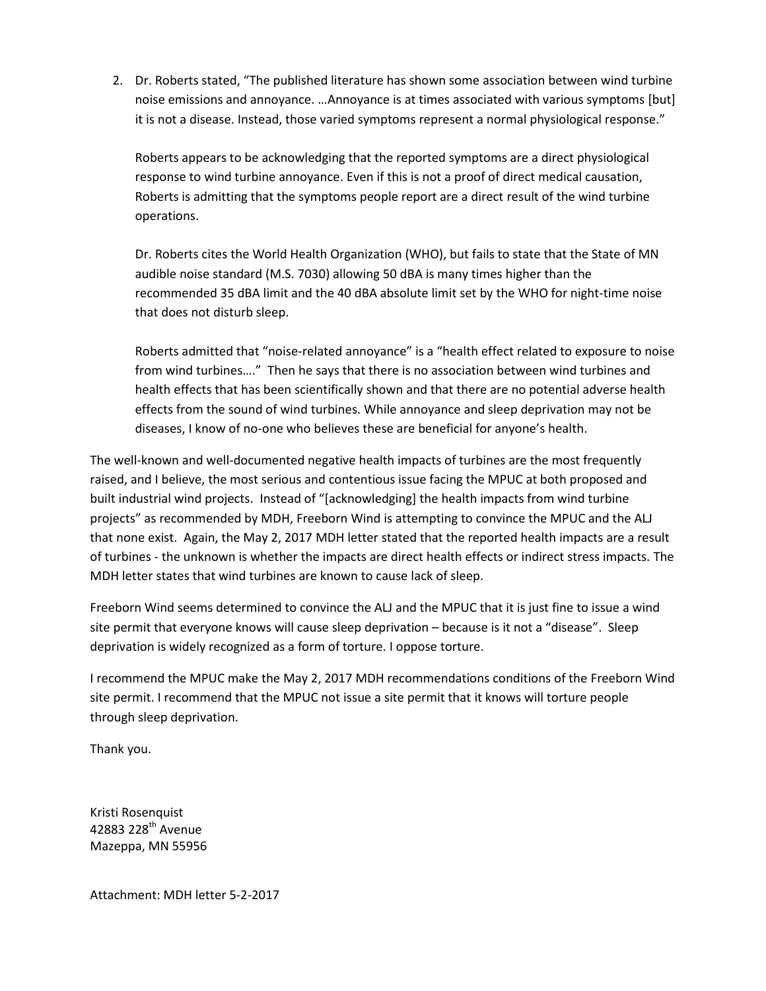2. Dr. Roberts stated, "The published literature has shown some association between wind turbine noise emissions and annoyance. …Annoyance is at times associated with various symptoms [but] it is not a disease. Instead, those varied symptoms represent a normal physiological response."

Roberts appears to be acknowledging that the reported symptoms are a direct physiological response to wind turbine annoyance. Even if this is not a proof of direct medical causation, Roberts is admitting that the symptoms people report are a direct result of the wind turbine operations.

Dr. Roberts cites the World Health Organization (WHO), but fails to state that the State of MN audible noise standard (M.S. 7030) allowing 50 dBA is many times higher than the recommended 35 dBA limit and the 40 dBA absolute limit set by the WHO for night-time noise that does not disturb sleep.

Roberts admitted that "noise-related annoyance" is a "health effect related to exposure to noise from wind turbines…." Then he says that there is no association between wind turbines and health effects that has been scientifically shown and that there are no potential adverse health effects from the sound of wind turbines. While annoyance and sleep deprivation may not be diseases, I know of no-one who believes these are beneficial for anyone's health.

The well-known and well-documented negative health impacts of turbines are the most frequently raised, and I believe, the most serious and contentious issue facing the MPUC at both proposed and built industrial wind projects. Instead of "[acknowledging] the health impacts from wind turbine projects" as recommended by MDH, Freeborn Wind is attempting to convince the MPUC and the ALJ that none exist. Again, the May 2, 2017 MDH letter stated that the reported health impacts are a result of turbines - the unknown is whether the impacts are direct health effects or indirect stress impacts. The MDH letter states that wind turbines are known to cause lack of sleep.

Freeborn Wind seems determined to convince the ALJ and the MPUC that it is just fine to issue a wind site permit that everyone knows will cause sleep deprivation – because is it not a "disease". Sleep deprivation is widely recognized as a form of torture. I oppose torture.

I recommend the MPUC make the May 2, 2017 MDH recommendations conditions of the Freeborn Wind site permit. I recommend that the MPUC not issue a site permit that it knows will torture people through sleep deprivation.

Thank you.

Kristi Rosenquist 42883 228<sup>th</sup> Avenue Mazeppa, MN 55956

Attachment: MDH letter 5-2-2017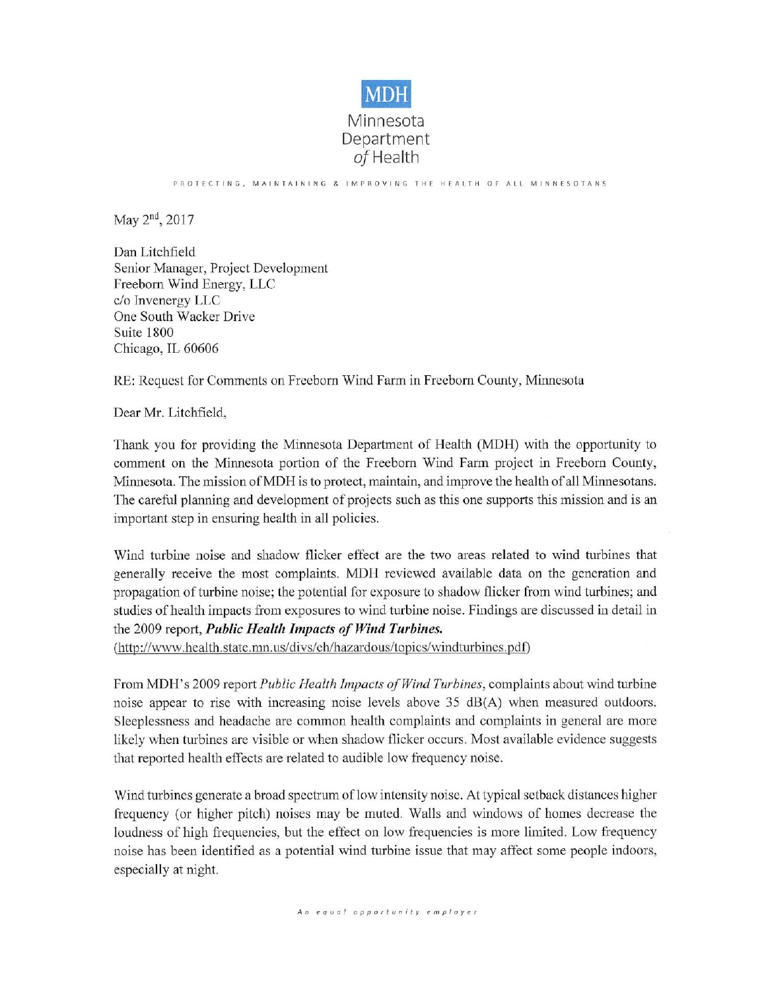

PROTECTING, MAINTAINING & IMPROVING THE HEALTH OF ALL MINNESOTANS

May 2<sup>nd</sup>, 2017

Dan Litchfield Senior Manager, Project Development Freeborn Wind Energy, LLC c/o Invenergy LLC One South Wacker Drive Suite 1800 Chicago, IL 60606

RE: Request for Comments on Freeborn Wind Farm in Freeborn County, Minnesota

Dear Mr. Litchfield,

Thank you for providing the Minnesota Department of Health (MDH) with the opportunity to comment on the Minnesota portion of the Freeborn Wind Farm project in Freeborn County, Minnesota. The mission of MDH is to protect, maintain, and improve the health of all Minnesotans. The careful planning and development of projects such as this one supports this mission and is an important step in ensuring health in all policies.

Wind turbine noise and shadow flicker effect are the two areas related to wind turbines that generally receive the most complaints. MDH reviewed available data on the generation and propagation of turbine noise; the potential for exposure to shadow flicker from wind turbines; and studies of health impacts from exposures to wind turbine noise. Findings are discussed in detail in the 2009 report, Public Health Impacts of Wind Turbines.

(http://www.health.state.mn.us/divs/eh/hazardous/topics/windturbines.pdf)

From MDH's 2009 report *Public Health Impacts of Wind Turbines*, complaints about wind turbine noise appear to rise with increasing noise levels above 35 dB(A) when measured outdoors. Sleeplessness and headache are common health complaints and complaints in general are more likely when turbines are visible or when shadow flicker occurs. Most available evidence suggests that reported health effects are related to audible low frequency noise.

Wind turbines generate a broad spectrum of low intensity noise. At typical setback distances higher frequency (or higher pitch) noises may be muted. Walls and windows of homes decrease the loudness of high frequencies, but the effect on low frequencies is more limited. Low frequency noise has been identified as a potential wind turbine issue that may affect some people indoors, especially at night.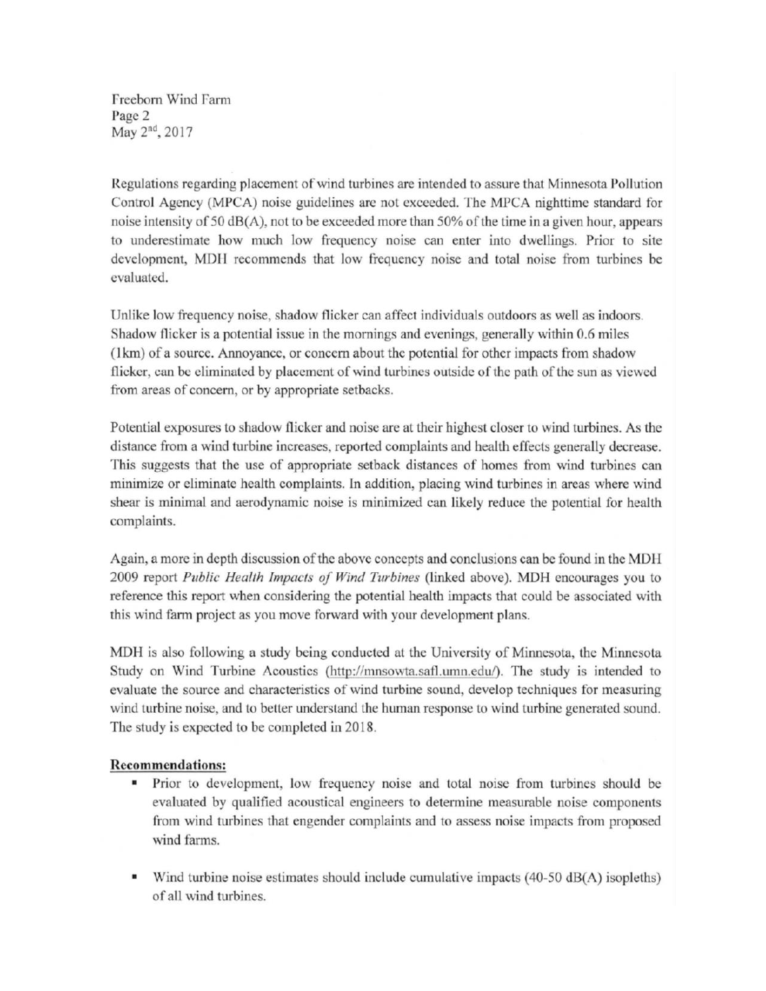Freeborn Wind Farm Page 2 May 2<sup>nd</sup>, 2017

Regulations regarding placement of wind turbines are intended to assure that Minnesota Pollution Control Agency (MPCA) noise guidelines are not exceeded. The MPCA nighttime standard for noise intensity of 50 dB(A), not to be exceeded more than 50% of the time in a given hour, appears to underestimate how much low frequency noise can enter into dwellings. Prior to site development, MDH recommends that low frequency noise and total noise from turbines be evaluated.

Unlike low frequency noise, shadow flicker can affect individuals outdoors as well as indoors. Shadow flicker is a potential issue in the mornings and evenings, generally within 0.6 miles (1km) of a source. Annoyance, or concern about the potential for other impacts from shadow flicker, can be eliminated by placement of wind turbines outside of the path of the sun as viewed from areas of concern, or by appropriate setbacks.

Potential exposures to shadow flicker and noise are at their highest closer to wind turbines. As the distance from a wind turbine increases, reported complaints and health effects generally decrease. This suggests that the use of appropriate setback distances of homes from wind turbines can minimize or eliminate health complaints. In addition, placing wind turbines in areas where wind shear is minimal and aerodynamic noise is minimized can likely reduce the potential for health complaints.

Again, a more in depth discussion of the above concepts and conclusions can be found in the MDH 2009 report Public Health Impacts of Wind Turbines (linked above). MDH encourages you to reference this report when considering the potential health impacts that could be associated with this wind farm project as you move forward with your development plans.

MDH is also following a study being conducted at the University of Minnesota, the Minnesota Study on Wind Turbine Acoustics (http://mnsowta.safl.umn.edu/). The study is intended to evaluate the source and characteristics of wind turbine sound, develop techniques for measuring wind turbine noise, and to better understand the human response to wind turbine generated sound. The study is expected to be completed in 2018.

## **Recommendations:**

- $\blacksquare$ Prior to development, low frequency noise and total noise from turbines should be evaluated by qualified acoustical engineers to determine measurable noise components from wind turbines that engender complaints and to assess noise impacts from proposed wind farms.
- Wind turbine noise estimates should include cumulative impacts  $(40-50 \text{ dB}(A))$  isopleths) of all wind turbines.